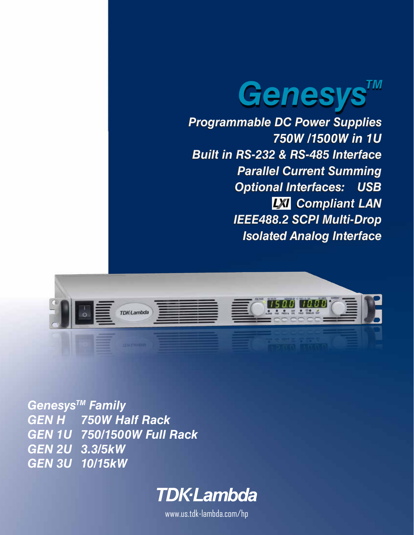

*Programmable DC Power Supplies Programmable DC Power Supplies 750W /1500W in 1U 750W /1500W in 1U Built in RS-232 & RS-485 Interface Built in RS-232 & RS-485 Interface Parallel Current Summing Parallel Current Summing Optional Interfaces: USB Optional Interfaces: USB LAN Compliant Compliant LAN IEEE488.2 SCPI Multi-Drop IEEE488.2 SCPI Multi-Drop Isolated Analog Interface Isolated Analog Interface*



*GenesysTM Family GEN H 750W Half Rack GEN 1U 750/1500W Full Rack GEN 2U 3.3/5kW GEN 3U 10/15kW*



www.us.tdk-lambda.com/hp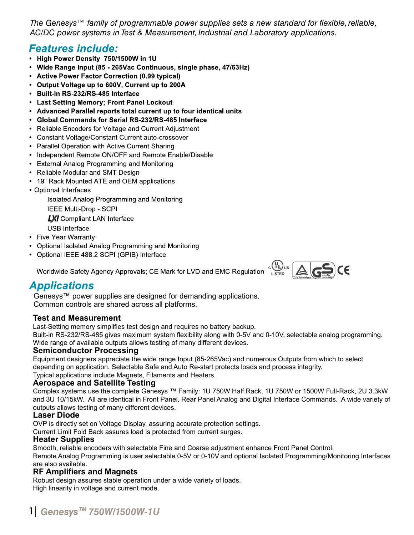*The Genesys™ family of programmable power supplies sets a new standard for flexible, reliable, AC/DC power systems in Test & Measurement, Industrial and Laboratory applications.*

# **Features include:**

- High Power Density 750/1500W in 1U
- Wide Range Input (85 265Vac Continuous, single phase, 47/63Hz)
- Active Power Factor Correction (0.99 typical)
- Output Voltage up to 600V, Current up to 200A
- Built-in RS-232/RS-485 Interface
- Last Setting Memory; Front Panel Lockout
- Advanced Parallel reports total current up to four identical units
- Global Commands for Serial RS-232/RS-485 Interface
- Reliable Encoders for Voltage and Current Adjustment
- Constant Voltage/Constant Current auto-crossover
- Parallel Operation with Active Current Sharing
- Independent Remote ON/OFF and Remote Enable/Disable
- External Analog Programming and Monitoring
- Reliable Modular and SMT Design
- 19" Rack Mounted ATE and OEM applications
- Optional Interfaces

Isolated Analog Programming and Monitoring

IEEE Multi-Drop - SCPI

**LXI** Compliant LAN Interface

- **USB** Interface
- Five Year Warranty
- Optional Isolated Analog Programming and Monitoring
- Optional IEEE 488.2 SCPI (GPIB) Interface

Worldwide Safety Agency Approvals; CE Mark for LVD and EMC Regulation



# **Applications**

Genesys™ power supplies are designed for demanding applications. Common controls are shared across all platforms.

## **Test and Measurement**

Last-Setting memory simplifies test design and requires no battery backup.

Built-in RS-232/RS-485 gives maximum system flexibility along with 0-5V and 0-10V, selectable analog programming. Wide range of available outputs allows testing of many different devices.

### **Semiconductor Processing**

Equipment designers appreciate the wide range Input (85-265Vac) and numerous Outputs from which to select depending on application. Selectable Safe and Auto Re-start protects loads and process integrity.

Typical applications include Magnets, Filaments and Heaters.

### **Aerospace and Satellite Testing**

Complex systems use the complete Genesys ™ Family: 1U 750W Half Rack, 1U 750W or 1500W Full-Rack, 2U 3.3kW and 3U 10/15kW. All are identical in Front Panel, Rear Panel Analog and Digital Interface Commands. A wide variety of outputs allows testing of many different devices.

### **Laser Diode**

OVP is directly set on Voltage Display, assuring accurate protection settings.

Current Limit Fold Back assures load is protected from current surges.

### **Heater Supplies**

Smooth, reliable encoders with selectable Fine and Coarse adjustment enhance Front Panel Control.

Remote Analog Programming is user selectable 0-5V or 0-10V and optional Isolated Programming/Monitoring Interfaces are also available.

### **RF Amplifiers and Magnets**

Robust design assures stable operation under a wide variety of loads. High linearity in voltage and current mode.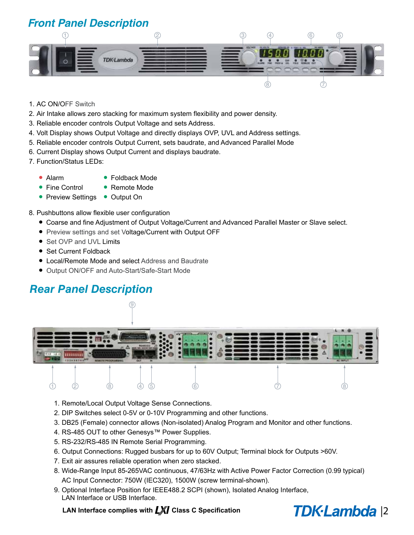**Front Panel Description**



- 1. AC ON/OFF Switch
- 2. Air Intake allows zero stacking for maximum system flexibility and power density.
- 3. Reliable encoder controls Output Voltage and sets Address.
- 4. Volt Display shows Output Voltage and directly displays OVP, UVL and Address settings.
- 5. Reliable encoder controls Output Current, sets baudrate, and Advanced Parallel Mode
- 6. Current Display shows Output Current and displays baudrate.
- 7. Function/Status LEDs:
	- **•** Alarm
- **•** Foldback Mode
- **•** Fine Control
- **•** Preview Settings **•** Output On **•** Remote Mode
- 8. Pushbuttons allow flexible user configuration
	- **•** Coarse and fine Adjustment of Output Voltage/Current and Advanced Parallel Master or Slave select.
	- **•** Preview settings and set Voltage/Current with Output OFF
	- **•** Set OVP and UVL Limits
	- **•** Set Current Foldback
	- **•** Local/Remote Mode and select Address and Baudrate
	- **•** Output ON/OFF and Auto-Start/Safe-Start Mode

# *Rear Panel Description*



- 1. Remote/Local Output Voltage Sense Connections.
- 2. DIP Switches select 0-5V or 0-10V Programming and other functions.
- 3. DB25 (Female) connector allows (Non-isolated) Analog Program and Monitor and other functions.
- 4. RS-485 OUT to other Genesys™ Power Supplies.
- 5. RS-232/RS-485 IN Remote Serial Programming.
- 6. Output Connections: Rugged busbars for up to 60V Output; Terminal block for Outputs >60V.
- 7. Exit air assures reliable operation when zero stacked.
- 8. Wide-Range Input 85-265VAC continuous, 47/63Hz with Active Power Factor Correction (0.99 typical) AC Input Connector: 750W (IEC320), 1500W (screw terminal-shown).
- 9. Optional Interface Position for IEEE488.2 SCPI (shown), Isolated Analog Interface, LAN Interface or USB Interface.

### LAN Interface complies with **LXI** Class C Specification

# TDK-Lambda<sup>12</sup>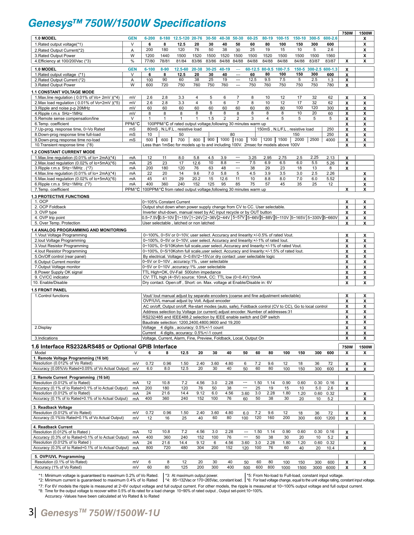# **Genesys™ 750W/1500W Specifications**

|                                                                                 |            |                                                                            |              |                                                                                      |                      |                  |                     |                          |                          |                        |                                                                                                            |             |             |             | <b>750W</b> | 1500W                        |
|---------------------------------------------------------------------------------|------------|----------------------------------------------------------------------------|--------------|--------------------------------------------------------------------------------------|----------------------|------------------|---------------------|--------------------------|--------------------------|------------------------|------------------------------------------------------------------------------------------------------------|-------------|-------------|-------------|-------------|------------------------------|
| 1.0 MODEL                                                                       | <b>GEN</b> | $6 - 200$                                                                  | 8-180        | 12.5-120 20-76                                                                       |                      | $30 - 50$        | 40-38 50-30         |                          | 60-25                    | 80-19                  | 100-15                                                                                                     | 150-10      | $300 - 5$   | 600-2.6     |             | x                            |
| 1. Rated output voltage(*1)                                                     | V          | 6                                                                          | 8            | 12.5                                                                                 | 20                   | 30               | 40                  | 50                       | 60                       | 80                     | 100                                                                                                        | 150         | 300         | 600         |             | x                            |
| 2. Rated Output Current(*2)                                                     | Α          | 200                                                                        | 180          | 120                                                                                  | 76                   | 50               | 38                  | 30                       | 25                       | 19                     | 15                                                                                                         | 10          | 5           | 2.6         |             | x                            |
| 3. Rated Output Power                                                           | W          | 1200                                                                       | 1440         | 1500                                                                                 | 1520                 | 1500             | 1520                | 1500                     | 1500                     | 1520                   | 1500                                                                                                       | 1500        | 1500        | 1560        |             | x                            |
| 4. Efficiency at 100/200Vac (*3)                                                | $\%$       | 77/80                                                                      | 78/81        | 81/84                                                                                | 83/86                | 83/86            | 84/88               | 84/88                    | 84/88                    | 84/88                  | 84/88                                                                                                      | 84/88       | 83/87       | 83/87       | X           | x                            |
| 1.0 MODEL                                                                       | <b>GEN</b> | $6 - 100$                                                                  | $8 - 90$     | 12.5-60                                                                              | 20-38                | $30 - 25$        | 40-19               | $\hspace{0.05cm} \ldots$ |                          | 60-12.5 80-9.5         | $100 - 7.5$                                                                                                | $150 - 5$   | 300-2.5     | 600-1.3     | X           |                              |
| 1. Rated output voltage (*1)                                                    | V          | 6                                                                          | 8            | 12.5                                                                                 | 20                   | 30               | 40                  | $\overline{\phantom{a}}$ | 60                       | 80                     | 100                                                                                                        | 150         | 300         | 600         | x           |                              |
| 2. Rated Output Current (*2)                                                    | Α          | 100                                                                        | 90           | 60                                                                                   | 38                   | 25               | 19                  | $\overline{\phantom{a}}$ | 12.5                     | 9.5                    | 7.5                                                                                                        | 5           | 2.5         | 1.3         | x           |                              |
| 3. Rated Output Power                                                           | W          | 600                                                                        | 720          | 750                                                                                  | 760                  | 750              | 760                 | $\overline{\phantom{a}}$ | 750                      | 760                    | 750                                                                                                        | 750         | 750         | 780         | X           |                              |
| <b>1.1 CONSTANT VOLTAGE MODE</b>                                                |            |                                                                            |              |                                                                                      |                      |                  |                     |                          |                          |                        |                                                                                                            |             |             |             |             |                              |
| 1. Max.line regulation (0.01% of Vo+ 2mV)(*4)                                   | mV         | 2.6                                                                        | 2.8          | 3.3                                                                                  | 4                    | 5                | 6                   | $\overline{7}$           | 8                        | 10                     | 12                                                                                                         | 17          | 32          | 62          | X           | X                            |
| 2. Max load regulation (0.01% of Vo+2mV)(*5)                                    | mV         | 2.6                                                                        | 2.8          | 3.3                                                                                  | $\overline{4}$<br>60 | $\sqrt{5}$<br>60 | 6<br>60             | $\overline{7}$<br>60     | 8<br>60                  | 10<br>80               | 12<br>80                                                                                                   | 17<br>100   | 32<br>120   | 62          | x           | x                            |
| 3. Ripple and noise p-p 20MHz<br>4. Ripple r.m.s 5Hz~1MHz                       | mV<br>mV   | 60<br>8                                                                    | 60<br>8      | 60<br>8                                                                              | 8                    | 8                | 8                   | 8                        | 8                        | 8                      | 8                                                                                                          | 10          | 20          | 300<br>60   | X<br>X      | X<br>x                       |
| 5. Remote sense compensation/line                                               | V          | 1                                                                          | $\mathbf{1}$ | $\mathbf{1}$                                                                         | 1                    | 1.5              | $\overline{2}$      | 2                        | 3                        | $\overline{4}$         | 5                                                                                                          | 5           | 5           | 5           | x           | x                            |
| 6. Temp. coefficient                                                            | PPM/°C     |                                                                            |              | 100PPM/°C of rated output voltage, following 30 minutes warm up                      |                      |                  |                     |                          |                          |                        |                                                                                                            |             |             |             | X           | x                            |
| 7. Up-prog. response time, 0~Vo Rated                                           | mS         |                                                                            |              | 80mS, N.L/F.L, resistive load                                                        |                      |                  |                     |                          |                          |                        | 150mS, N.L/F.L, resistive load                                                                             |             |             | 250         | x           | x                            |
| 8. Down-prog response time full-load                                            | mS         | 10                                                                         |              | 50                                                                                   |                      |                  |                     | 80                       |                          |                        |                                                                                                            | 150         |             | 250         | X           | x                            |
| 9. Down-prog response time no-load                                              | mS         | 500                                                                        | 600          | 700                                                                                  | 800                  |                  | $900$   1000   1100 |                          | 100                      | 1200                   | 1500                                                                                                       | 2000        | 2500        | 4000        | x           | X                            |
| 10. Transient response time (*8)                                                |            |                                                                            |              |                                                                                      |                      |                  |                     |                          |                          |                        | Less than 1mSec for models up to and including 100V. 2msec for models above 100V                           |             |             |             | x           | X                            |
| <b>1.2 CONSTANT CURRENT MODE</b>                                                |            |                                                                            |              |                                                                                      |                      |                  |                     |                          |                          |                        |                                                                                                            |             |             |             |             |                              |
| 1. Max.line regulation (0.01% of lo+ 2mA)(*4)                                   | mA         | 12                                                                         | 11           | 8.0                                                                                  | 5.8                  | 4.5              | 3.9                 | ---                      | 3.25                     | 2.95                   | 2.75                                                                                                       | 2.5         | 2.25        | 2.13        | X           |                              |
| 2. Max. load regulation (0.02% of lo+5mA)(*6)                                   | mA         | 25                                                                         | 23           | 17                                                                                   | 12.6                 | 10               | 8.8                 | $\hspace{0.05cm} \cdots$ | 7.5                      | 6.9                    | 6.5                                                                                                        | 6.0         | 5.5         | 5.26        | X           |                              |
| 3. Ripple r.m.s 5Hz~1MHz. (*7)                                                  | mA         | 200                                                                        | 180          | 120                                                                                  | 76                   | 63               | 48                  | ---                      | 38                       | 29                     | 23                                                                                                         | 18          | 13          | 8           | x           |                              |
| 4. Max.line regulation (0.01% of lo+ 2mA)(*4)                                   | mA         | 22                                                                         | 20<br>41     | 14                                                                                   | 9.6                  | 7.0              | 5.8                 | 5                        | 4.5                      | 3.9<br>8.8             | 3.5<br>8.0                                                                                                 | 3.0<br>7.0  | 2.5<br>6.0  | 2.26        |             | x                            |
| 5. Max. load regulation (0.02% of lo+5mA)(*6)<br>6. Ripple r.m.s 5Hz~1MHz .(*7) | mA<br>mA   | 45<br>400                                                                  | 360          | 29<br>240                                                                            | 20.2<br>152          | 15<br>125        | 12.6<br>95          | 11<br>85                 | 10<br>75                 | 57                     | 45                                                                                                         | 35          | 25          | 5.52<br>12  |             | x<br>x                       |
| 7. Temp. coefficient                                                            |            | PPM/°C   100PPM/°C from rated output voltage, following 30 minutes warm up |              |                                                                                      |                      |                  |                     |                          |                          |                        |                                                                                                            |             |             |             | x           | X                            |
| <b>1.3 PROTECTIVE FUNCTIONS</b>                                                 |            |                                                                            |              |                                                                                      |                      |                  |                     |                          |                          |                        |                                                                                                            |             |             |             |             |                              |
| 1. OCP                                                                          |            |                                                                            |              | 0~105% Constant Current                                                              |                      |                  |                     |                          |                          |                        |                                                                                                            |             |             |             | x           | x                            |
| 2. OCP Foldback                                                                 |            |                                                                            |              | Output shut down when power supply change from CV to CC. User selectable.            |                      |                  |                     |                          |                          |                        |                                                                                                            |             |             |             | x           | $\boldsymbol{\mathsf{x}}$    |
| 3. OVP type                                                                     |            |                                                                            |              | Inverter shut-down, manual reset by AC input recycle or by OUT button                |                      |                  |                     |                          |                          |                        |                                                                                                            |             |             |             | x           | x                            |
| 4. OVP trip point                                                               |            |                                                                            |              |                                                                                      |                      |                  |                     |                          |                          |                        | 0.5~7.5V 0.5~10V  1~15V  1~24V   2~36V   2~44V   5~57V   5~66V   5~68V   5~110V   5~165V   5~330V   5~660V |             |             |             | X           | x                            |
| 5. Over Temp. Protection                                                        |            |                                                                            |              | User selectable, latched or non latched                                              |                      |                  |                     |                          |                          |                        |                                                                                                            |             |             |             | X           | X                            |
| 1.4 ANALOG PROGRAMMING AND MONITORING                                           |            |                                                                            |              |                                                                                      |                      |                  |                     |                          |                          |                        |                                                                                                            |             |             |             |             |                              |
| 1. Vout Voltage Programming                                                     |            |                                                                            |              |                                                                                      |                      |                  |                     |                          |                          |                        | 0~100%, 0~5V or 0~10V, user select. Accuracy and linearity:+/-0.5% of rated Vout.                          |             |             |             | X           | x                            |
| 2. lout Voltage Programming                                                     |            |                                                                            |              | 0~100%, 0~5V or 0~10V, user select. Accuracy and linearity:+/-1% of rated lout.      |                      |                  |                     |                          |                          |                        |                                                                                                            |             |             |             | x           | x                            |
| 3. Vout Resistor Programming                                                    |            |                                                                            |              |                                                                                      |                      |                  |                     |                          |                          |                        | 0~100%, 0~5/10Kohm full scale, user select., Accuracy and linearity:+/-1% of rated Vout.                   |             |             |             | X           | X                            |
| 4. lout Resistor Programming                                                    |            |                                                                            |              |                                                                                      |                      |                  |                     |                          |                          |                        | 0~100%, 0~5/10Kohm full scale, user select. Accuracy and linearity:+/-1.5% of rated lout.                  |             |             |             | X           | x                            |
| 5.On/Off control (rear panel)                                                   |            |                                                                            |              | By electrical. Voltage: 0~0.6V/2~15V, or dry contact, user selectable logic          |                      |                  |                     |                          |                          |                        |                                                                                                            |             |             |             | X           | X                            |
| 6.Output Current monitor                                                        |            |                                                                            |              | 0~5V or 0~10V, accuracy:1%, user selectable                                          |                      |                  |                     |                          |                          |                        |                                                                                                            |             |             |             | X           | x                            |
| 7.Output Voltage monitor<br>8. Power Supply OK signal                           |            |                                                                            |              | 0~5V or 0~10V ,accuracy:1% ,user selectable<br>TTL High=OK, 0V-Fail 500ohm impedance |                      |                  |                     |                          |                          |                        |                                                                                                            |             |             |             | x           | x                            |
| 9. CV/CC indicator                                                              |            |                                                                            |              | CV: TTL high (4~5V) source: 10mA, CC: TTL low (0~0.4V):10mA                          |                      |                  |                     |                          |                          |                        |                                                                                                            |             |             |             | X<br>X      | $\overline{\mathbf{x}}$<br>x |
| 10. Enable/Disable                                                              |            |                                                                            |              | Dry contact. Open:off, Short: on. Max. voltage at Enable/Disable in: 6V              |                      |                  |                     |                          |                          |                        |                                                                                                            |             |             |             | x           | X                            |
| <b>1.5 FRONT PANEL</b>                                                          |            |                                                                            |              |                                                                                      |                      |                  |                     |                          |                          |                        |                                                                                                            |             |             |             |             |                              |
| 1. Control functions                                                            |            |                                                                            |              |                                                                                      |                      |                  |                     |                          |                          |                        | Vout/ lout manual adjust by separate encoders (coarse and fine adjustment selectable)                      |             |             |             | X           | х                            |
|                                                                                 |            |                                                                            |              | OVP/UVL manual adjust by Volt. Adjust encoder                                        |                      |                  |                     |                          |                          |                        |                                                                                                            |             |             |             | X           | X                            |
|                                                                                 |            |                                                                            |              |                                                                                      |                      |                  |                     |                          |                          |                        | AC on/off, Output on/off, Re-start modes (auto, safe), Foldback control (CV to CC), Go to local control    |             |             |             | X           | X                            |
|                                                                                 |            |                                                                            |              |                                                                                      |                      |                  |                     |                          |                          |                        | Address selection by Voltage (or current) adjust encoder. Number of addresses: 31                          |             |             |             | x           | x                            |
|                                                                                 |            |                                                                            |              | RS232/485 and IEEE488.2 selection by IEEE enable switch and DIP switch               |                      |                  |                     |                          |                          |                        |                                                                                                            |             |             |             | X           | x                            |
|                                                                                 |            |                                                                            |              | Baudrate selection: 1200,2400,4800,9600 and 19,200                                   |                      |                  |                     |                          |                          |                        |                                                                                                            |             |             |             | X           | x                            |
| 2.Display                                                                       |            |                                                                            |              | Voltage 4 digits, accuracy: 0.5%+/-1 count                                           |                      |                  |                     |                          |                          |                        |                                                                                                            |             |             |             | x           | X                            |
|                                                                                 |            |                                                                            |              | Current 4 digits, accuracy: 0.5%+/-1 count                                           |                      |                  |                     |                          |                          |                        |                                                                                                            |             |             |             | x           | X                            |
| 3.Indications                                                                   |            |                                                                            |              | Voltage, Current, Alarm, Fine, Preview, Foldback, Local, Output On                   |                      |                  |                     |                          |                          |                        |                                                                                                            |             |             |             | х           | x                            |
| 1.6 Interface RS232&RS485 or Optional GPIB Interface                            |            |                                                                            |              |                                                                                      |                      |                  |                     |                          |                          |                        |                                                                                                            |             |             |             | 750W        | 1500W                        |
| Model                                                                           |            | 6                                                                          | 8            | 12.5                                                                                 | 20                   | 30               | 40                  |                          | 50                       | 80<br>60               | 100                                                                                                        | 150         | 300         | 600         | х           | х                            |
| 1. Remote Voltage Programming (16 bit)                                          |            |                                                                            |              |                                                                                      |                      |                  |                     |                          |                          |                        |                                                                                                            |             |             |             |             |                              |
| Resolution (0.012% of Vo Rated)                                                 | mV         | 0.72                                                                       | 0.96         | 1.50                                                                                 | 2.40                 | 3.60             | 4.80                |                          | 6                        | 7.2<br>9.6             | 12                                                                                                         | 18          | 36          | 72          | x           | х                            |
| Accuracy (0.05%Vo Rated+0.05% of Vo Actual Output)                              | mV         | 6.0                                                                        | 8.0          | 12.5                                                                                 | 20                   | 30               | 40                  |                          | 50                       | 60<br>80               | 100                                                                                                        | 150         | 300         | 600         | X           | x                            |
| 2. Remote Current Programming (16 bit)                                          |            |                                                                            |              |                                                                                      |                      |                  |                     |                          |                          |                        |                                                                                                            |             |             |             |             |                              |
| Resolution (0.012% of lo Rated)                                                 | mA         | 12                                                                         | 10.8         | 7.2                                                                                  | 4.56                 | 3.0              | 2.28                |                          | $\overline{\phantom{a}}$ | 1.50<br>1.14           | 0.90                                                                                                       | 0.60        | 0.30        | 0.16        | x           |                              |
| Accuracy (0.1% of lo Rated+0.1% of lo Actual Output)                            | mA         | 200                                                                        | 180          | 120                                                                                  | 76                   | 50               | 38                  |                          | $\overline{\phantom{a}}$ | 25<br>19               | 15                                                                                                         | 10          | 5.0         | 2.6         | x           |                              |
| Resolution (0.012% of lo Rated)                                                 | mA         | 24                                                                         | 21.6         | 14.4                                                                                 | 9.12                 | 6.0              | 4.56                |                          | 3.60                     | 2.28<br>3.0            | 1.80                                                                                                       | 1.20        | 0.60        | 0.32        |             | x                            |
| Accuracy (0.1% of lo Rated+0.1% of lo Actual Output)                            | mA         | 400                                                                        | 360          | 240                                                                                  | 152                  | 100              | 76                  |                          | 60                       | 50<br>38               | 30                                                                                                         | 20          | 10          | 5.2         |             | x                            |
| 3. Readback Voltage                                                             |            |                                                                            |              |                                                                                      |                      |                  |                     |                          |                          |                        |                                                                                                            |             |             |             |             |                              |
| Resolution (0.012% of Vo Rated)                                                 | mV         | 0.72                                                                       | 0.96         | 1.50                                                                                 | 2.40                 | 3.60             | 4.80                |                          | 6.0                      | 7.2<br>9.6             | 12                                                                                                         | 18          | 36          | 72          | x           | X.                           |
| Accuracy (0.1%Vo Rated+0.1% of Vo Actual Output)                                | mV         | 12                                                                         | 16           | 25                                                                                   | 40                   | 60               | 80                  |                          | 100                      | 120<br>160             | 200                                                                                                        | 300         | 600         | 1200        | X           | x                            |
| 4. Readback Current                                                             |            |                                                                            |              |                                                                                      |                      |                  |                     |                          |                          |                        |                                                                                                            |             |             |             |             |                              |
| Resolution (0.012% of lo Rated)                                                 | mA         | 12                                                                         | 10.8         | 7.2                                                                                  | 4.56                 | 3.0              | 2.28                |                          | ---                      | 1.50<br>1.14           | 0.90                                                                                                       | 0.60        | 0.30        | 0.16        | x           |                              |
| Accuracy (0.3% of lo Rated+0.1% of lo Actual Output)                            | mA         | 400                                                                        | 360          | 240                                                                                  | 152                  | 100              | 76                  |                          | ---                      | 50<br>38               | 30                                                                                                         | 20          | 10          | 5.2         | х           |                              |
| Resolution (0.012% of lo Rated)                                                 | mA         | 24                                                                         | 21.6         | 14.4                                                                                 | 9.12                 | 6                | 4.56                |                          | 3.60                     | 3.0<br>2.28            | 1.80                                                                                                       | 1.20        | 0.60        | 0.32        |             | x                            |
| Accuracy (0.3% of lo Rated+0.1% of lo Actual Output)                            | mA         | 800                                                                        | 720          | 480                                                                                  | 304                  | 200              | 152                 |                          | 120                      | 100<br>76              | 60                                                                                                         | 40          | 20          | 10.4        |             | X                            |
|                                                                                 |            |                                                                            |              |                                                                                      |                      |                  |                     |                          |                          |                        |                                                                                                            |             |             |             |             |                              |
|                                                                                 |            |                                                                            |              |                                                                                      |                      |                  |                     |                          |                          |                        |                                                                                                            |             |             |             |             |                              |
| 5. OVP/UVL Programming                                                          |            |                                                                            |              |                                                                                      |                      |                  |                     |                          |                          |                        |                                                                                                            |             |             |             |             |                              |
| Resolution (0.1% of Vo Rated)<br>Accuracy (1% of Vo Rated)                      | mV<br>mV   | 6<br>60                                                                    | 8<br>80      | 12<br>125                                                                            | 20<br>200            | 30<br>300        | 40<br>400           |                          | 50<br>500                | 60<br>80<br>600<br>800 | 100<br>1000                                                                                                | 150<br>1500 | 300<br>3000 | 600<br>6000 | x<br>x      | х<br>x                       |

\*1: Minimum voltage is guaranteed to maximum 0.2% of Vo Rated. |\*3: At maximum output power. |\*5: From No-load to Full-load, constant input voltage.<br>\*2: Minimum current is guaranteed to maximum 0.4% of Io Rated |\*4: 85~132 \*7: For 6V models the ripple is measured at 2~6V output voltage and full output current. For other models, the ripple is measured at 10~100% output voltage and full output current.<br>\*8: Time for the output voltage to recove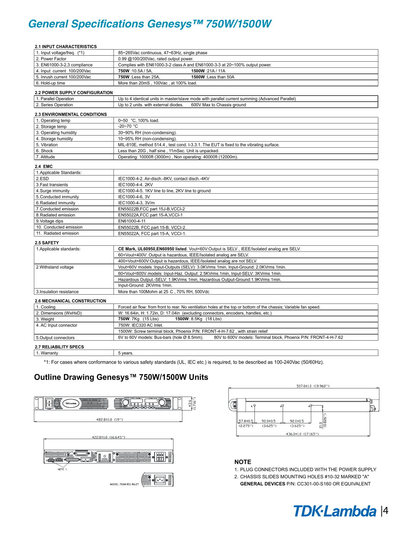# **General Specifications Genesys™ 750W/1500W**

| <b>2.1 INPUT CHARACTERISTICS</b>      |                                                                                                                              |
|---------------------------------------|------------------------------------------------------------------------------------------------------------------------------|
| 1. Input voltage/freg. (*1)           | 85~265Vac continuous, 47~63Hz, single phase                                                                                  |
| 2. Power Factor                       | 0.99 @100/200Vac, rated output power.                                                                                        |
| 3. EN61000-3-2,3 compliance           | Complies with EN61000-3-2 class A and EN61000-3-3 at 20~100% output power.                                                   |
| 4. Input current 100/200Vac           | 750W:10.5A/5A,<br>1500W:21A/11A                                                                                              |
| 5. Inrush current 100/200Vac          | 750W : Less than 25A,<br>1500W : Less than 50A                                                                               |
| 6. Hold-up time                       | More than 20mS, 100Vac, at 100% load.                                                                                        |
| <b>2.2 POWER SUPPLY CONFIGURATION</b> |                                                                                                                              |
| 1. Parallel Operation                 | Up to 4 identical units in master/slave mode with parallel current summing (Advanced Parallel)                               |
| 2. Series Operation                   | 600V Max to Chassis ground<br>Up to 2 units. with external diodes.                                                           |
| 2.3 ENVIRONMENTAL CONDITIONS          |                                                                                                                              |
| 1. Operating temp                     | 0~50 °C, 100% load.                                                                                                          |
| 2. Storage temp                       | $-20 - 70$ °C                                                                                                                |
| 3. Operating humidity                 | 30~90% RH (non-condensing).                                                                                                  |
| 4. Storage humidity                   | 10~95% RH (non-condensing).                                                                                                  |
| 5. Vibration                          | MIL-810E, method 514.4, test cond. I-3.3.1. The EUT is fixed to the vibrating surface.                                       |
| 6. Shock                              | Less than 20G, half sine, 11mSec. Unit is unpacked.                                                                          |
| 7. Altitude                           | Operating: 10000ft (3000m), Non operating: 40000ft (12000m)                                                                  |
| <b>2.4 EMC</b>                        |                                                                                                                              |
| 1. Applicable Standards:              |                                                                                                                              |
| 2.ESD                                 | IEC1000-4-2. Air-disch.-8KV, contact disch.-4KV                                                                              |
| 3. Fast transients                    | IEC1000-4-4, 2KV                                                                                                             |
| 4. Surge immunity                     | IEC1000-4-5. 1KV line to line, 2KV line to ground                                                                            |
| 5. Conducted immunity                 | IEC1000-4-6, 3V                                                                                                              |
| 6. Radiated immunity                  | IEC1000-4-3, 3V/m                                                                                                            |
| 7. Conducted emission                 | EN55022B, FCC part 15J-B, VCCI-2                                                                                             |
| 8. Radiated emission                  | EN55022A, FCC part 15-A, VCCI-1                                                                                              |
| 9. Voltage dips                       | EN61000-4-11                                                                                                                 |
| 10. Conducted emission                | EN55022B, FCC part 15-B, VCCI-2.                                                                                             |
| 11. Radiated emission                 | EN55022A, FCC part 15-A, VCCI-1.                                                                                             |
| 2.5 SAFETY                            |                                                                                                                              |
| 1. Applicable standards:              | CE Mark, UL60950, EN60950 listed. Vout<60V: Output is SELV, IEEE/Isolated analog are SELV.                                   |
|                                       | 60 <vout<400v: analog="" are="" hazardous,="" ieee="" is="" isolated="" output="" selv.<="" td=""></vout<400v:>              |
|                                       | 400 <vout<600v:output analog="" are="" hazardous,="" ieee="" is="" isolated="" not="" selv.<="" td=""></vout<600v:output>    |
| 2. Withstand voltage                  | Vout<60V models : Input-Outputs (SELV): 3.0KVrms 1min, Input-Ground: 2.0KVrms 1min.                                          |
|                                       | 60 <vout<600v 1min,="" 1min.<="" 2.5kvrms="" 3kvrms="" input-haz.="" input-selv:="" models:="" output:="" td=""></vout<600v> |
|                                       | Hazardous Output.-SELV: 1.9KVrms 1min, Hazardous Output-Ground:1.9KVrms 1min.                                                |
|                                       | Input-Ground: 2KVrms 1min.                                                                                                   |
| 3. Insulation resistance              | More than 100Mohm at 25 C, 70% RH, 500Vdc                                                                                    |
| <b>2.6 MECHANICAL CONSTRUCTION</b>    |                                                                                                                              |
| 1. Cooling                            | Forced air flow: from front to rear. No ventilation holes at the top or bottom of the chassis; Variable fan speed.           |
| 2. Dimensions (WxHxD)                 | W: 16.64in, H: 1.72in, D: 17.04in (excluding connectors, encoders, handles, etc.)                                            |
| 3. Weight                             | 750W: 7Kg (15 Lbs)<br>1500W: 8.5Kg (18 Lbs)                                                                                  |
| 4. AC Input connector                 | 750W: IEC320 AC Inlet.                                                                                                       |
|                                       | 1500W: Screw terminal block, Phoenix P/N: FRONT-4-H-7.62, with strain relief                                                 |
| 5.Output connectors                   | 6V to 60V models: Bus-bars (hole Ø 8.5mm).<br>80V to 600V models: Terminal block, Phoenix P/N: FRONT-4-H-7.62                |
| <b>2.7 RELIABILITY SPECS</b>          |                                                                                                                              |
| 1. Warranty                           | 5 years.                                                                                                                     |
|                                       |                                                                                                                              |

\*1: For cases where conformance to various safety standards (UL, IEC etc.) is required, to be described as 100-240Vac (50/60Hz).

# **Outline Drawing Genesys™ 750W/1500W Units**





#### **NOTE**

1. PLUG CONNECTORS INCLUDED WITH THE POWER SUPPLY

2. CHASSIS SLIDES MOUNTING HOLES #10-32 MARKED "A"

**GENERAL DEVICES** P/N: CC301-00-S160 OR EQUIVALENT

# *Genesys 750W/1500W-1U TM* |4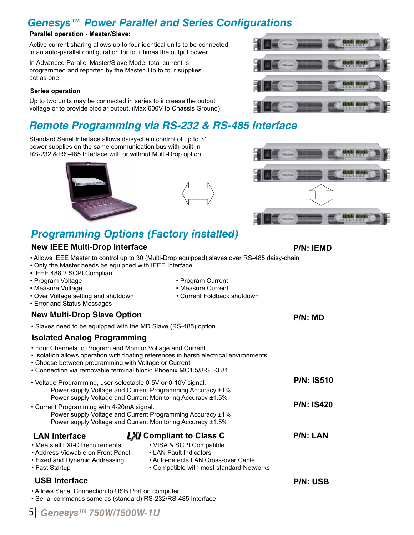# *Genesys™ Power Parallel and Series Configurations*

#### **Parallel operation - Master/Slave:**

Active current sharing allows up to four identical units to be connected in an auto-parallel configuration for four times the output power.

In Advanced Parallel Master/Slave Mode, total current is programmed and reported by the Master. Up to four supplies act as one.

#### **Series operation**

Up to two units may be connected in series to increase the output voltage or to provide bipolar output. (Max 600V to Chassis Ground).

# **Remote Programming via RS-232 & RS-485 Interface**

Standard Serial Interface allows daisy-chain control of up to 31 power supplies on the same communication bus with built-in RS-232 & RS-485 Interface with or without Multi-Drop option.









# *Programming Options (Factory installed)*

## **New IEEE Multi-Drop Interface**

- Allows IEEE Master to control up to 30 (Multi-Drop equipped) slaves over RS-485 daisy-chain
- Only the Master needs be equipped with IEEE Interface
- IEEE 488.2 SCPI Compliant
- Program Voltage  **Program Current**
- Measure Voltage  **Measure Current**
- Over Voltage setting and shutdown Current Foldback shutdown
- Error and Status Messages

#### **New Multi-Drop Slave Option**

• Slaves need to be equipped with the MD Slave (RS-485) option

### **Isolated Analog Programming**

- Four Channels to Program and Monitor Voltage and Current.
- Isolation allows operation with floating references in harsh electrical environments.
- Choose between programming with Voltage or Current.
- Connection via removable terminal block: Phoenix MC1,5/8-ST-3.81.

| • Voltage Programming, user-selectable 0-5V or 0-10V signal.<br>Power supply Voltage and Current Monitoring Accuracy ±1.5%                                           | Power supply Voltage and Current Programming Accuracy ±1%                                                                             | <b>P/N: IS510</b> |
|----------------------------------------------------------------------------------------------------------------------------------------------------------------------|---------------------------------------------------------------------------------------------------------------------------------------|-------------------|
| • Current Programming with 4-20mA signal.<br>Power supply Voltage and Current Programming Accuracy ±1%<br>Power supply Voltage and Current Monitoring Accuracy ±1.5% | <b>P/N: IS420</b>                                                                                                                     |                   |
| <b>LAN Interface</b>                                                                                                                                                 | <b>LXI</b> Compliant to Class C                                                                                                       | <b>P/N: LAN</b>   |
| • Meets all LXI-C Requirements<br>• Address Viewable on Front Panel<br>• Fixed and Dynamic Addressing<br>• Fast Startup                                              | • VISA & SCPI Compatible<br>• LAN Fault Indicators<br>• Auto-detects LAN Cross-over Cable<br>• Compatible with most standard Networks |                   |

### **USB Interface**

• Allows Serial Connection to USB Port on computer

• Serial commands same as (standard) RS-232/RS-485 Interface

**P/N: IEMD**

**P/N: MD**

5 Genesys<sup>™</sup> 750W/1500W-1U

**P/N: USB**